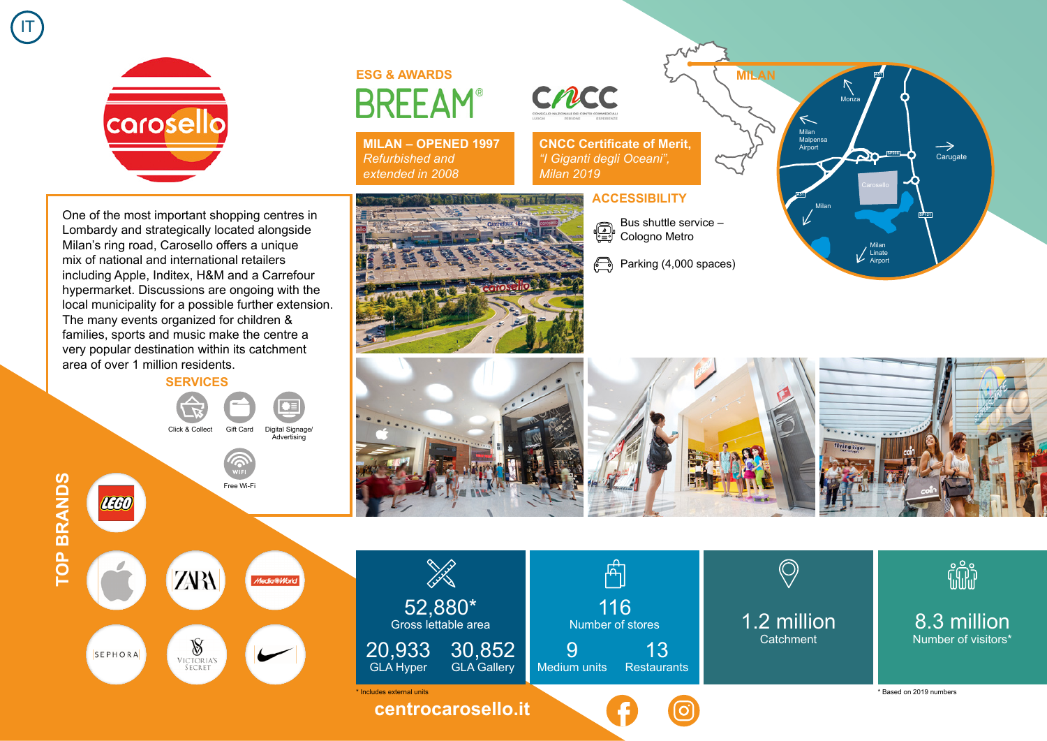

IT

One of the most important shopping centres in Lombardy and strategically located alongside Milan's ring road, Carosello offers a unique mix of national and international retailers including Apple, Inditex, H&M and a Carrefour hypermarket. Discussions are ongoing with the local municipality for a possible further extension. The many events organized for children & families, sports and music make the centre a very popular destination within its catchment area of over 1 million residents.

**SERVICES**

Click & Collect Gift Card Digital Signage/

**Advertising** 

Free Wi-Fi



SEPHORA

**TOP BRANDS**

**TOP BRANDS** 

**ESG & AWARDS BREEAM®** 

**MILAN – OPENED 1997** *Refurbished and extended in 2008*







**CNCC Certificate of Merit,**  *"I Giganti degli Oceani", Milan 2019*

## **ACCESSIBILITY**

- Bus shuttle service ⊕ Cologno Metro
- $\bigoplus$ Parking (4,000 spaces)